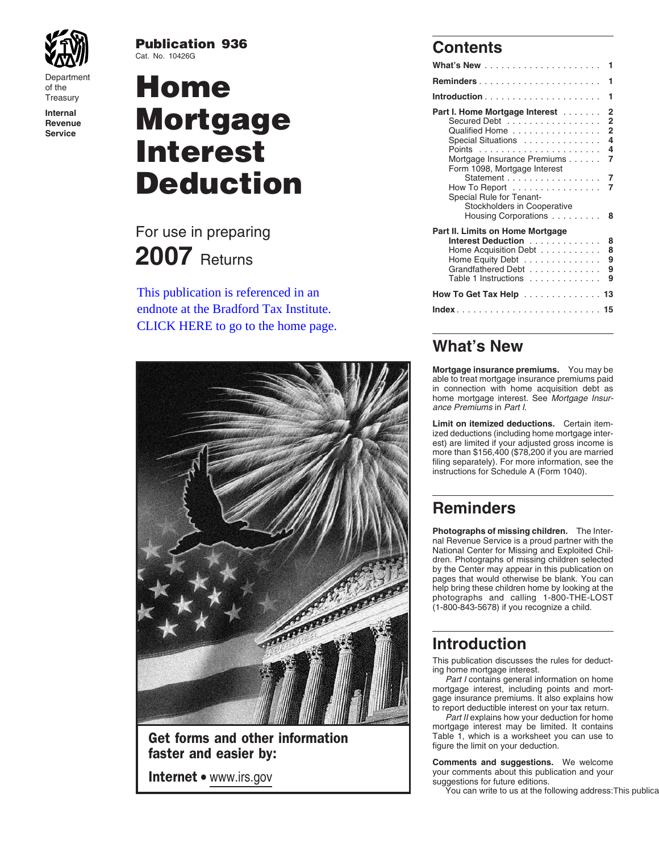

## **Publication 936 Contents**

# **Interest Deduction**

## For use in preparing **2007 Returns**

This publication is referenced in an endnote at the Bradford Tax Institute. [CLICK HERE to go to the home page.](http://www.bradfordtaxinstitute.com/)



# Get forms and other information  $\overline{f}$  Table 1, which is a worksheet your deduction.

| YA'A'/l                        | Gat. No. 10426G                        |                                                                                                                     |
|--------------------------------|----------------------------------------|---------------------------------------------------------------------------------------------------------------------|
| Department<br>of the           | <b>Home</b>                            |                                                                                                                     |
| Treasury                       |                                        |                                                                                                                     |
| Internal<br>Revenue<br>Service | <b>Mortgage</b>                        | Part I. Home Mortgage Interest 2<br>Secured Debt 2<br>Qualified Home 2                                              |
|                                | <b>Interest</b>                        | Special Situations 4<br>Mortgage Insurance Premiums 7<br>Form 1098, Mortgage Interest                               |
|                                | <b>Deduction</b>                       | Statement 7<br>How To Report 7<br>Special Rule for Tenant-<br>Stockholders in Cooperative<br>Housing Corporations 8 |
|                                | For use in preparing                   | Part II. Limits on Home Mortgage<br>Interest Deduction 8                                                            |
|                                | 2007 Returns                           | Grandfathered Debt 9<br>Table 1 Instructions 9                                                                      |
|                                | This publication is referenced in an   | How To Get Tax Help 13                                                                                              |
|                                | endnote at the Bradford Tax Institute. |                                                                                                                     |
|                                |                                        |                                                                                                                     |

### **What's New**

**Mortgage insurance premiums.** You may be able to treat mortgage insurance premiums paid in connection with home acquisition debt as home mortgage interest. See Mortgage Insurance Premiums in Part I.

**Limit on itemized deductions.** Certain itemized deductions (including home mortgage interest) are limited if your adjusted gross income is more than \$156,400 (\$78,200 if you are married filing separately). For more information, see the instructions for Schedule A (Form 1040).

## **Reminders**

**Photographs of missing children.** The Internal Revenue Service is a proud partner with the National Center for Missing and Exploited Children. Photographs of missing children selected by the Center may appear in this publication on pages that would otherwise be blank. You can help bring these children home by looking at the photographs and calling 1-800-THE-LOST (1-800-843-5678) if you recognize a child.

### **Introduction**

This publication discusses the rules for deducting home mortgage interest.

Part I contains general information on home mortgage interest, including points and mortgage insurance premiums. It also explains how to report deductible interest on your tax return.

Part II explains how your deduction for home mortgage interest may be limited. It contains<br>Table 1, which is a worksheet you can use to

**faster and easier by: Comments and suggestions.** We welcome<br> **Internet a unique of the limit on your comments about this publication and your** Internet • www.irs.gov **and your comments about this publication and your Comments about this publication** 

You can write to us at the following address: This publica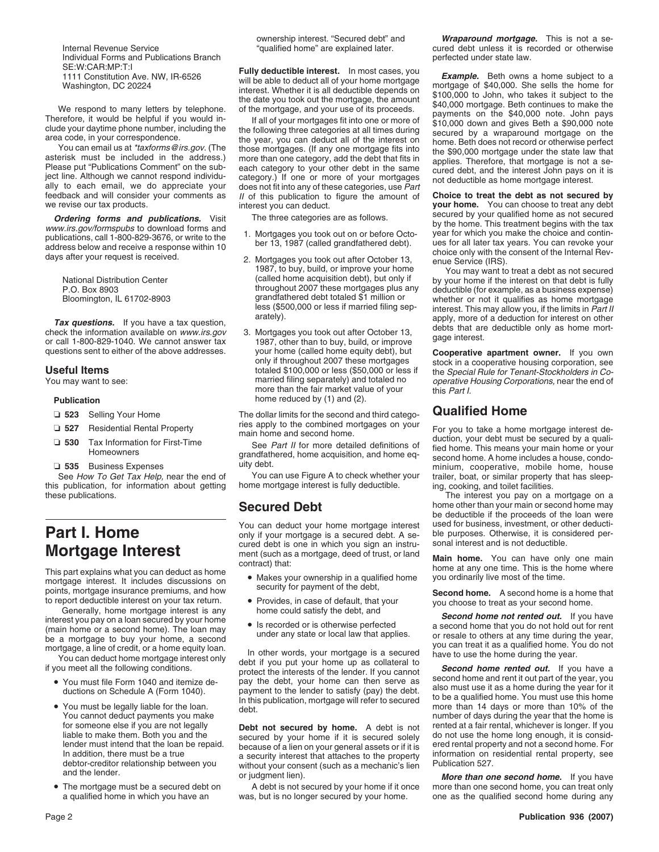Individual Forms and Publications Branch

- 
- 
- 

this publication, for information about getting these publications.

to report deductible interest on your tax return.<br>
Generally, home mortgage interest is any<br>
interest you pay on a loan secured by your home<br>
(main home or a second home). The loan may<br>
be a mortgage to buy your home, a se

- 
- 
- 

ally to each email, we do appreciate your<br>feedback and will consider your comments as II of this publication to figure the amount of **Choice to treat the debt as not secured by**<br>we revise our tax products.<br>**We are the amou** 

- 
- 
- totaled \$100,000 or less (\$50,000 or less if<br>married filing separately) and totaled no more than the fair market value of your this Part I. **Publication** home reduced by (1) and (2).

❏ **<sup>523</sup>** Selling Your Home The dollar limits for the second and third catego- **Qualified Home**

You can deduct your home mortgage interest used for business, investment, or other deducti-<br>only if your mortgage is a secured debt. A se- ble purposes. Otherwise, it is considered per-<br>**Mentaneers Interneed** the **Intern Mortgage Interest**<br>
This part explains what you can deduct as home<br>
ment (such as a mortgage, deed of trust, or land<br>
ment are only one main<br>
mortgage interest. It includes discussions on<br>
points, mortgage insurance premi

- 
- 
- 

mortgage, a line of credit, or a home equity loan.<br>
To ther words, your mortgage is a secured have to use the home during the year.<br>
You can deduct home mortgage interest only debt if you put your home up as collateral to<br>

liable to make them. Both you and the<br>
lender must intend that the loan be repaid.<br>
In addition, there must be a true<br>
debtor-creditor relationship between you<br>
a security interest that attaches to the property<br>
and the le

• The mortgage must be a secured debt on A debt is not secured by your home if it once more than one second home, you can treat only a qualified home in which you have an was, but is no longer secured by your home. One as was, but is no longer secured by your home. one as the qualified second home during any

ownership interest. "Secured debt" and *Wraparound mortgage.* This is not a se-Internal Revenue Service ""qualified home" are explained later. cured debt unless it is recorded or otherwise<br>Individual Forms and Publications Branch exercised unless it is recorded or otherwise

SE:W.CAR:MP:T:1<br>
1110:CONITIONITY of the able to deal to deal to deal to deal to deal to deal to deal to deal to deal to deal to deal to deal to deal to deal to deal to deal to deal to deal to deal to deal the able to deal

interest you can deduct.<br>The three categories are as follows secured by your qualified home as not secured **Ordering forms and publications.** Visit The three categories are as follows.<br>
www.irs.gov/formspubs to download forms and<br>
publications, call 1-800-829-3676, or write to the<br>
address below and receive a response within 10

1987, to buy, build, or improve your home The Manay want to treat a debt as not secured<br>National Distribution Center (called home acquisition debt), but only if by your home if the interest on that debt is fully<br>P.O. Box 8 P.O. Box 8903 throughout 2007 these mortgages plus any deductible (for example, as a business expense)<br>Bloomington, IL 61702-8903 strategy of the strategy of the strategy of the strategy of the strategy of the mortgage grandfathered debt totaled \$1 million or<br>less (\$500,000 or less if married filing sep-<br>anguly, more of a deduction for interest on other<br>anguly, more of a deduction for interest on other Tax questions. If you have a tax question,<br>check the information available on www.irs.gov 3. Mortgages you took out after October 13, debts that are deductible only as home mort-<br>or call 1-800-829-1040. We cannot answer ta

questions sent to either of the above addresses. your home (called home equity debt), but **Cooperative apartment owner.** If you own only if throughout 2007 these mortgages stock in a cooperative housing corporation, see<br>to You may want to see: **married filling separately)** and totaled no operative Housing Corporations, near the end of

□ 527 Residential Rental Property ries apply to the combined mortgages on your<br>
main home and second home.<br>
Tax Information for First-Time See Part II for more detailed definitions of<br>
Homeowners detailed testing and thom Grandathered, nome acquisition, and nome eq-<br> **O 535** Business Expenses uity debt.<br>
See *How To Get Tax Help*, near the end of You can use Figure A to check whether your trailer, boat, or similar property that has sleep-You can use Figure A to check whether your trailer, boat, or similar property that has sleep-<br>home mortgage interest is fully deductible.  $\qquad \qquad$  ing, cooking, and toilet facilities.

The interest you pay on a mortgage on a **Secured Debt** home other than your main or second home may be deductible if the proceeds of the loan were

for someone else if you are not legally **Debt not secured by home.** A debt is not rented at a fair rental, whichever is longer. If you is longer if you and the secured by your home if it is secured solely do not use the ho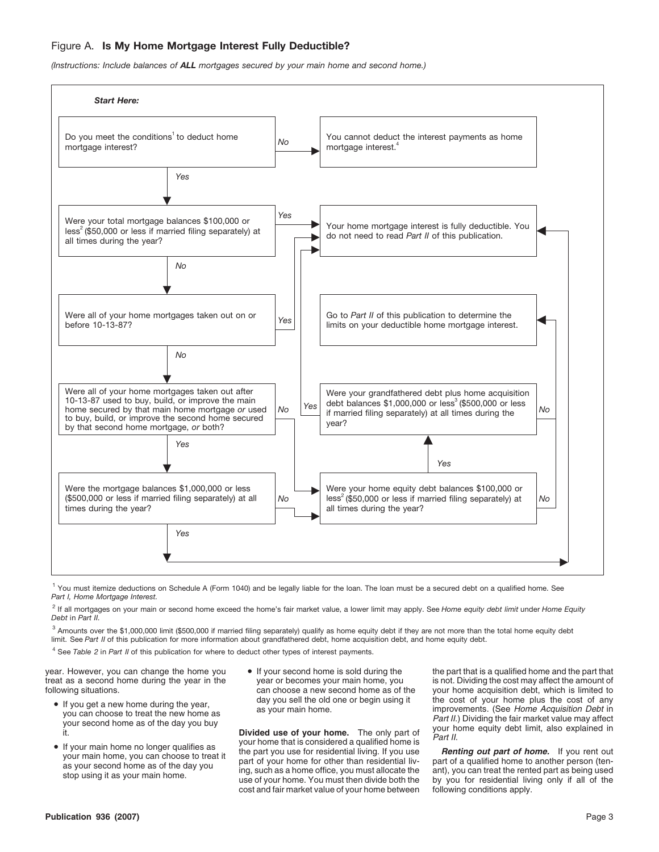### Figure A. **Is My Home Mortgage Interest Fully Deductible?**

*(Instructions: Include balances of ALL mortgages secured by your main home and second home.)*



<sup>1</sup> You must itemize deductions on Schedule A (Form 1040) and be legally liable for the loan. The loan must be a secured debt on a qualified home. See *Part I, Home Mortgage Interest.*

<sup>2</sup> If all mortgages on your main or second home exceed the home's fair market value, a lower limit may apply. See Home equity debt limit under Home Equity *Debt* in *Part II.*

 $^3$  Amounts over the \$1,000,000 limit (\$500,000 if married filing separately) qualify as home equity debt if they are not more than the total home equity debt limit. See Part II of this publication for more information about grandfathered debt, home acquisition debt, and home equity debt.

<sup>4</sup> See *Table 2* in *Part II* of this publication for where to deduct other types of interest payments.

- 
- 
- 

For the dots of the cost of your can choose to treat the new home as<br>
you can choose to treat the new home as<br>
you buy<br>
the cost of your home plus the cost of sour home plus the cost of any<br>
you can choose to treat the new cost and fair market value of your home between following conditions apply.

year. However, you can change the home you • If your second home is sold during the the part that is a qualified home and the part that treat as a second home during the year in the year or becomes your main home, you is n treat as a second home during the year in the year or becomes your main home, you is not. Dividing the cost may affect the amount of can choose a new second home as of the your home acquisition debt, which is limited to your home acquisition debt, which is limited to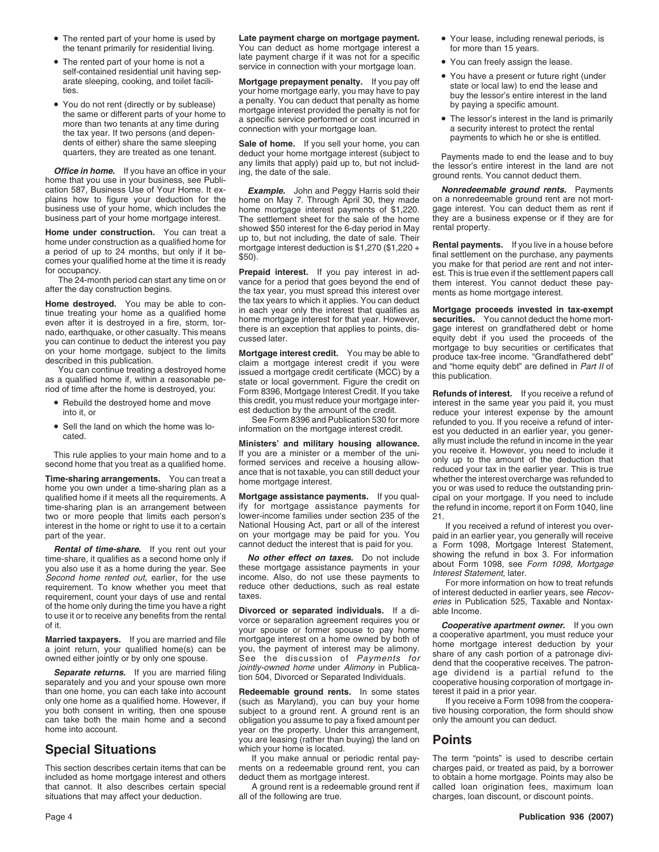- 
- 
- 

cation 587, Business Use of Your Home. It ex-<br>plains how to figure your deduction for the home on May 7. Through April 30, they made on a nonredeemable ground rent are not mort-

- 
- 

qualified home if it meets all the requirements. A **Mortgage assistance payments.** If you qual-<br>time-sharing plan is an arrangement between if y for mortgage assistance payments for the refund in income, report it on Form time-sharing plan is an arrangement between if y for mortgage assistance payments for the refund in income, report it on Form 1040, line two or more people that limits each person's lower-income families under section 235 interest in the home or right to use it to a certain National Housing Act, part or all of the interest lif you received a refund of interest you over-<br>on your mortgage may be paid for you. You paid in an earlier year, you

**Rental of time-share.** If you rent out your<br>time-share. If you rent out your<br>time-share, it qualifies as a second home only if  $\sim$  **No other effect on taxes**. Do not include showing the relation in box 3. For informatio

can take both the main home and a second obligation you assume to pay a fixed amount per<br>home into account.

This section describes certain items that can be ments on a redeemable ground rent, you can included as home mortgage interest and others deduct them as mortgage interest. The obtain a home mortgage. Points may also be<br>that cannot. It also describes certain special A ground rent is a redeemable ground rent if cal

### • The rented part of your home is used by **Late payment charge on mortgage payment.** • Your lease, including renewal periods, is the tenant primarily for residential living. You can deduct as home mortgage interest a for m You can deduct as home mortgage interest a late payment charge if it was not for a specific

• The rented part of your home is not a<br>
self-contained residential unit having sep-<br>
arate sleeping, cooking, and toilet facili-<br>
• You do not rent (directly or by sublease)<br>
• You do not rent (directly or by sublease)<br>
•

quarters, they are treated as one tenant. deduct your home mortgage interest (subject to payments made to end the lease and to buy<br> **Office in home.** If you have an office in your ing, the date of the sale.<br>
home that you

plains how to figure your deduction for the home on May 7. Through April 30, they made on a nonredeemable ground rent are not mort-<br>business use of your home, which includes the home mortgage interest payments of \$1,220. g business use of your home, which includes the home mortgage interest payments of \$1,220. gage interest. You can deduct them as rent if<br>business part of your home mortgage interest. The settlement sheet for the sale of the The settlement sheet for the sale of the home they are a business part of the sale of the home they are a business showed \$50 interest for the 6-day period in May

lower-income families under section 235 of the 21.<br>National Housing Act, part or all of the interest

than one home, you can each take into account **Redeemable ground rents.** In some states terest it paid in a prior year.<br>
only one home as a qualified home. However, if (such as Maryland), you can buy your home If you recei only one home as a qualified home. However, if (such as Maryland), you can buy your home If you receive a Form 1098 from the coopera-<br>you both consent in writing, then one spouse subject to a ground rent. A ground rent is you both consent in writing, then one spouse subject to a ground rent. A ground rent is an tive housing corporation, the forr<br>can take both the main home and a second obligation you assume to pay a fixed amount per only th year on the property. Under this arrangement, you are leasing (rather than buying) the land on **Points**<br> **Special Situations** which your home is located.<br>
If you make annual or periodic rental pay- The term

situations that may affect your deduction. all of the following are true. charges, loan discount, or discount points.

- 
- 
- 
- 

**Home under construction.** You can treat a<br>home under construction as a qualified home for<br>a period of up to 24 months, but only if it be-<br>comes your qualified home at the time it is ready<br>for occupancy.<br>The 24-month perio

**Home destroyed.** You may be able to con-<br>
the tax years to which it applies. You can deduct<br>
tive reating your home and qualitied home in each year only the interest that qualities are<br>
the are a qualitied home in each y

**Ministers' and military housing allowance.** ally must include the refund in income in the year<br>If you are a minister or a member of the uni-<br>you receive it. However, you need to include it. This rule applies to your main home and to a<br>second home that you treat as a qualified home. formed services and receive a housing allow-<br>**Time-sharing arrangements.** You can treat a<br>home mortgage interest.<br>home wou own un

part of the year.<br>Cannot deduct the interest that is paid for you. a Form 1098, Mortgage Interest Statement,

The term "points" is used to describe certain charges paid, or treated as paid, by a borrower called loan origination fees, maximum loan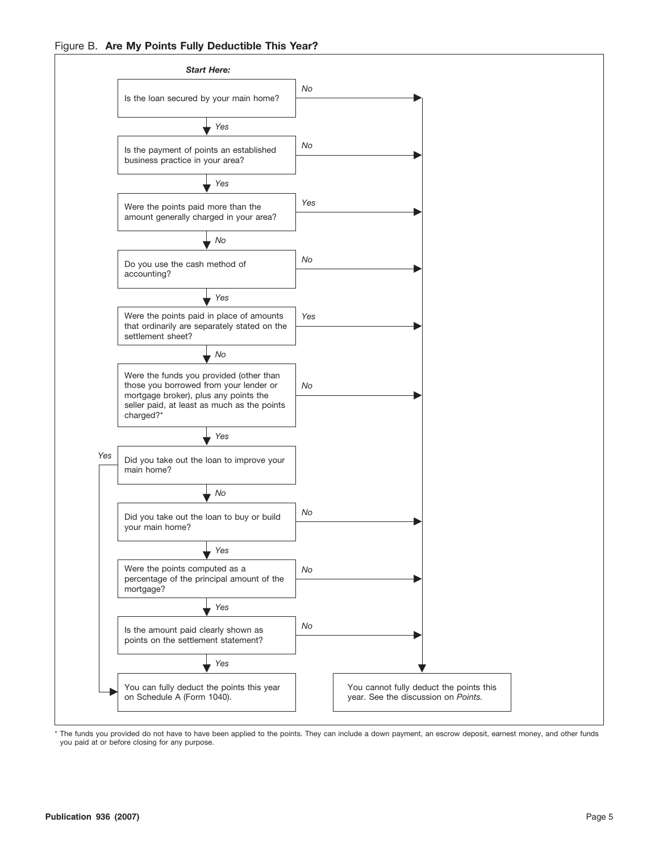Figure B. **Are My Points Fully Deductible This Year?**



The funds you provided do not have to have been applied to the points. They can include a down payment, an escrow deposit, earnest money, and other funds you paid at or before closing for any purpose.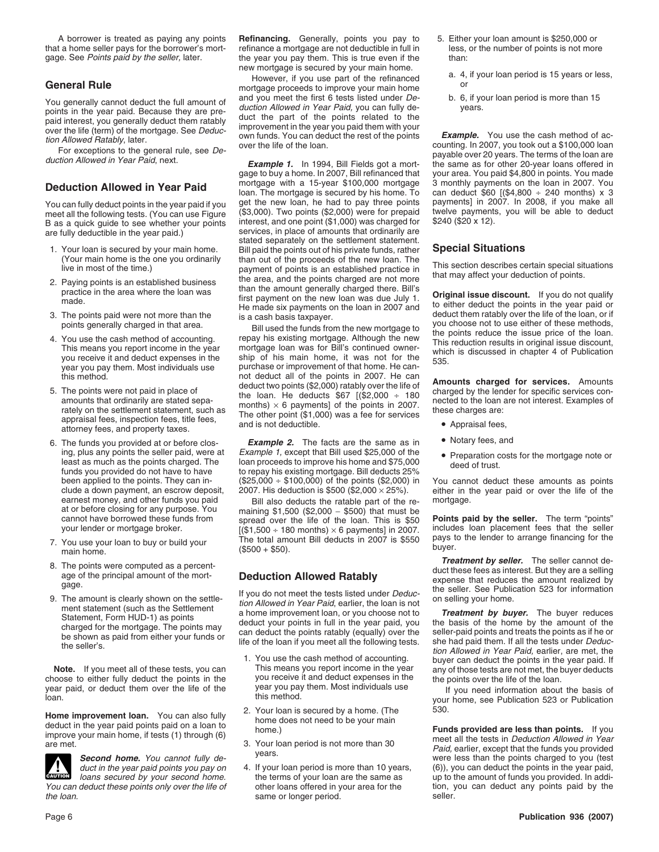A borrower is treated as paying any points **Refinancing.** Generally, points you pay to 5. Either your loan amount is \$250,000 or that a home seller pays for the borrower's mort-<br>gage. See Points paid by the seller, later.<br>the year you pay them. This is true even if the than:

B as a quick guide to see whether your points are fully deductible in the year paid.) services, in place of amounts that ordinarily are

- 
- 
- 
- 
- 
- 
- 
- 
- 

choose to either fully deduct the points in the you receive it and deduct expenses in the the points over the life of the loan.<br>Vear you had information about



the year you pay them. This is true even if the

new mortgage is secured by your main home.<br>However, if you use part of the refinanced a. 4, if your loan period is 15 years or less,<br>mortgage proceeds to improve your main home You generally cannot deduct the full amount of<br>points in the year paid. Because they are pre-<br>paid interest, you generally deduct them ratably<br>paid interest, you generally deduct them ratably<br>over the life (term) of the mo

gage to buy a home. In 2007, Bill refinanced that your area. You paid \$4,800 in points. You made mortgage with a 15-year \$100,000 mortgage 3 monthly payments on the loan in 2007. You **Deduction Allowed in Year Paid** loan. The mortgage is secured by his home. To can deduct \$60 [(\$4,800 ÷ 240 months) x 3<br>You can fully d You can fully deduct points in the year paid if you get the new loan, he had to pay three points meet all the following tests. (You can use Figure (\$3,000). Two points (\$2,000) were for prepaid meet all the following tests. (You can use Figure (\$3,000). Two points (\$2,000) were for prepaid twelve payments, you will be able to deduct R as a quick quide to see whether your points interest, and one point (\$1,000) wa stated separately on the settlement statement.<br>Bill paid the points out of his private funds, rather 1. Your loan is secured by your main home. Bill paid the points out of his private funds, rather **Special Situations** (Your main home is the one you ordinarily than out of the proceeds of the new loan. The<br>
live in most of the time.) payment of points is an established practice in<br>
2. Paying points is an established business the area, and first payment on the new loan was due July 1. Uriginal issue discount. It you do not qualify<br>He made six payments on the loan in 2007 and to either deduct the points in the year paid or<br>is a cash has is taxpayer

this method.<br>
S. The points were not paid in place of<br>
the loan. He deduct wo points (\$2,000) ratably over the life of<br>
the loan. He deducts \$67 [(\$2,000 + 180<br>
the loan are not interest. Examples of<br>
rately on the settlem

**Example 2.** The facts are the same as in • Notary fees, and ing, plus any points the seller paid, were at *Example 1*, except that Bill used \$25,000 of the **6. Displace in a control** ing, plus any points the seller paid, were at Example 1, except that Bill used \$25,000 of the  $\bullet$  Preparation costs for the mortgage note or least as much as the points charged. The loan proceeds to improve his home and \$

earnest money, and other funds you paid Bill also deducts the ratable part of the re- mortgage.<br>at or before closing for any purpose. You maining \$1,500 (\$2,000 - \$500) that must be The total amount Bill deducts in 2007 is \$550 pays to the lender to arrange financing for the 7. You use your loan to buy or build your  $\frac{500 + $50}{\text{m}}$ . The results were computed as a parcent (\$500 + \$50).

8. The points were computed as a percent<br>age of the principal amount of the mort-<br>gage.<br>9. The annount is clearly shown on the settle-<br>9. The seller same treatment (such as the Settlement<br>ment statement (such as the Settle

- 
- 2. Your loan is secured by a home. (The
- 
- the loan. Same or longer period.
- -
	-

3. The points paid were not more than the<br>
is a cash basis taxpayer.<br>
4. You use the cash method of accounting.<br>
This means you report income in the year<br>
This means you report income in the year<br>
This means you report inc

- 
- 
- 

been applied to the points. They can in-<br>clude a down payment, an escrow deposit, 2007. His deduction is \$500 (\$2,000  $\times$  25%). either in the year paid or over the life of the clude a down payment, an escrow deposit,  $2007$ . His deduction is \$500 (\$2,000  $\times$  25%). either in the year paid or over the life of the earnest money, and other funds you paid  $\overline{B}$  and  $\overline{B}$  and  $\overline{B}$  and  $\overline$ 

cannot have borrowed these funds from spread over the life of the loan. This is \$50 **Points paid by the seller.** The term "points" your lender or mortgage broker.  $\frac{1}{3}$ ,  $\frac{1}{300}$  + 180 months) × 6 payments in 2007 [(\$1,500 ÷ 180 months)  $\times$  6 payments] in 2007. Includes loan placement fees that the seller<br>The total amount Bill deducts in 2007 is \$550 pays to the lender to arrange financing for the

1. You use the cash method of accounting.<br>Note. If you meet all of these tests, you can This means you report income in the year any of those tests are not met, the buyer deducts<br>Note the interport income in the same of th

year paid, or deduct them over the life of the year you pay them. Most individuals use If you need information about the basis of this method.<br>In this method. The see Publication 523 or Publication 523 or Publication 523 o

**Home improvement Ioan.** You can also fully<br>
deduct in the year paid points paid on a loan to<br>
improve your main home, if tests (1) through (6)<br>
are met.<br> **Second home.** You cannot fully de-<br> **Second home.** You cannot full duct in the year paid points you pay on 4. If your loan period is more than 10 years, (6)), you can deduct the points in the year paid, **CAUTON** loans secured by your second home. The terms of your loan are the same as The up to the amount of funds you provided. In addi-<br>You can deduct these points only over the life of The other loans offered in your area tion, you can deduct any points paid by the seller.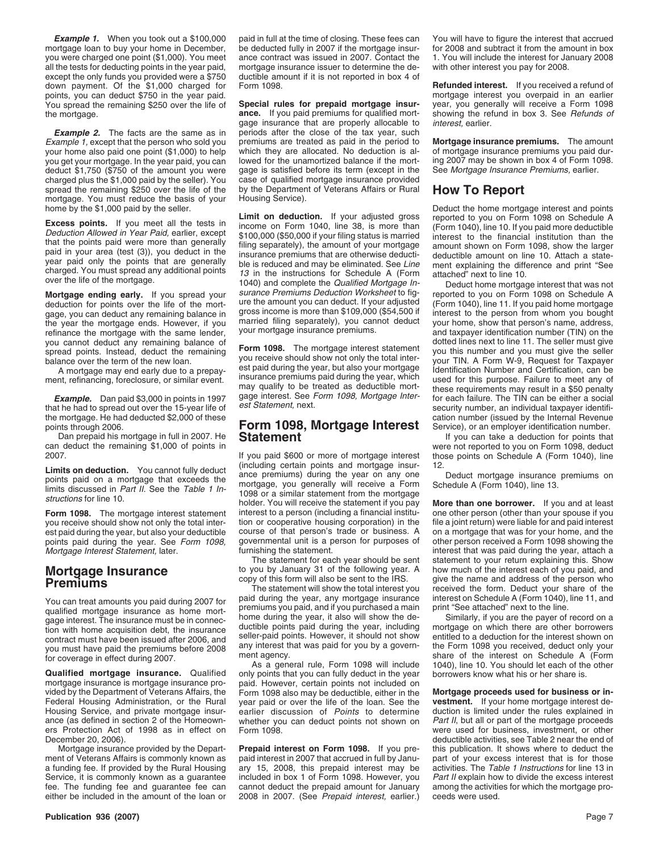*Example 1.* When you took out a \$100,000 paid in full at the time of closing. These fees can You will have to figure the interest that accrued mortgage loan to buy your home in December, be deducted fully in 2007 if the m you were charged one point (\$1,000). You meet all the tests for deducting points in the year paid, mortgage insurance issuer to determine the de- with other interest you pay for 2008.<br>except the only funds you provided were a \$750 ductible amount if it is not reported except the only funds you provided were a  $$750$  ductible amount open to the  $$1.000$  charged for Form 1098. down payment. Of the \$1,000 charged for Form 1098. **Refunded interest.** If you received a refund of points, you can deduct \$750 in the year paid.<br>You spread the remaining \$250 over the life of Special rules for prepaid mortgage insur- year, you generally will receive a Form 1098 the mortgage. **ance.** If you paid premiums for qualified mort-

**Example 2.** The facts are the same as in periods after the close of the tax year, such Example 1, except that the person who sold you premiums are treated as paid in the period to your home also paid one point (\$1,000) to help which they are allocated. No deduction is al-<br>you get your mortgage. In the year paid, you can lowed for the unamortized balance if the mort- ing 2007 may be shown in box 4 of you get your mortgage. In the year paid, you can lowed for the unamortized balance if the mort- ing 2007 may be shown in box 4 of Form 10<br>deduct \$1,750 (\$750 of the amount you were gage is satisfied before its term (except charged plus the \$1,000 paid by the seller). You case of qualified mortgage insurance provided spread the remaining \$250 over the life of the by the Department of Veterans Affairs or Rural **How To Report** mortgage. You must reduce the basis of your Housing Service).

the year the mortgage ends. However, if you married filing separately), you cannot deduct your home, show that person's name, address,<br>refinance the mortgage with the same lender, your mortgage insurance premiums. That and refinance the mortgage with the same lender, your mortgage insurance premiums. and taxpayer identification number (TIN) on the vou cannot deduct any remaining balance of  $\overline{a}$ 

Example. Dan paid \$3,000 in points in 1997 gage interest. See Form 1098, Mortgage Inter-<br>that he had to spread out over the 15-year life of est Statement, next. security number, an individual taxpayer identifithe mortgage. He had deducted \$2,000 of these cation issued by the Internal Revenue

Dan prepaid his mortgage in full in 2007. He can deduct the remaining \$1,000 of points in can deduct the remaining \$1,000 of points in<br>
If you paid \$600 or more of mortgage interest those points on Schedule A (Form 1040), line

you receive should show not only the total inter-<br>filth of cooperative housing corporation) in the first return of the filter and paid during the vear. but also your deductible course of that person's trade or business. A points paid during the year. See Form 1098, governmental unit is a person for purposes of other person received a Form 1098 showing the Mortgage Interest Statement, later.<br>Mortgage Interest Statement, later. that was paid

**Qualified mortgage insurance.** Qualified only points that you can fully deduct in the year borrowers know what his or her share is.<br>mortgage insurance is mortgage insurance pro-<br>paid. However, certain points not included mortgage insurance is mortgage insurance pro-<br>vided by the Department of Veterans Affairs, the vided by the Department of Veterans Affairs, the Form 1098 also may be deductible, either in the **Mortgage proceeds used for business or in-**Housing Service, and private mortgage insur-earlier discussion of Points to determine duction is limited under the rules explained in ance (as defined in section 2 of the Homeown-whether you can deduct points not shown on ers Protection Act of 1998 as in effect on December 20, 2006).

Mortgage insurance provided by the Depart- **Prepaid interest on Form 1098.** If you pre- this publication. It shows where to deduct the ment of Veterans Affairs is commonly known as paid interest in 2007 that accrued in full by Janu-<br>a funding fee. If provided by the Rural Housing ary 15, 2008, this prepaid interest may be activities. The Table 1 Instructi Service, it is commonly known as a guarantee included in box 1 of Form 1098. However, you Part II explain how to divide the excess interest fee. The funding fee and guarantee fee can cannot deduct the prepaid amount for Ja fee. The funding fee and guarantee fee can cannot deduct the prepaid amount for January either be included in the amount of the loan or 2008 in 2007. (See Prepaid interest, earlier.)

be deducted fully in 2007 if the mortgage insur-<br>for 2008 and subtract it from the amount in box<br>ance contract was issued in 2007. Contact the<br>1. You will include the interest for January 2008

gage insurance that are properly allocable to *interest*, earlier. premiums are treated as paid in the period to **Mortgage insurance premiums.** The amount which they are allocated. No deduction is al-<br>which they are allocated. No deduction is al-<br>of mortgage insurance premiums you paid du gage is satisfied before its term (except in the case of qualified mortgage insurance provided

**Excess points.** If you meet all the tests in  $Deduction$  income on Form 1040, line 38, is more than  $Deduction$  Allowed in Year Paid, earlier, except  $Deduction$  Allowed in Year Paid, earlier, except  $Deduction$  Allowed in Year Paid, earlier, e **Mortgage ending early.** If you spread your *surance Premiums Deduction Worksheet* to fig-<br>deduction for points over the life of the mort-<br>gage, you can deduct any remaining balance in gross income is more than \$109,000 (\$

# points through 2006. **Form 1098, Mortgage Interest** Service), or an employer identification number.

If you paid \$600 or more of mortgage interest those points on Schedule A (Form 1040), line (including certain points and mortgage insur- 12. **Limits on deduction.** You cannot fully deduct<br>points paid on a mortgage that exceeds the ance premiums) during the year on any one Deduct mortgage insurance premiums on<br>limits discussed in Part II. See the Table 1 In-<br>str **Form 1098.** The mortgage interest statement interest to a person (including a financial institu-<br>vou receive should show not only the total inter-<br>tion or cooperative housing corporation) in the file a joint return) were est paid during the year, but also your deductible course of that person's trade or business. A on a mortgage that was for your home, and the

The statement for each year should be sent

You can treat amounts you paid during 2007 for<br>qualified mortgage insurance as home mort-<br>gage interest. The insurance must be in connec-<br>tion with home acquisition debt, the insurance<br>contract must have been issued after

year paid or over the life of the loan. See the vestment. If your home mortgage interest de-<br>earlier discussion of *Points* to determine duction is limited under the rules explained in whether you can deduct points not shown on  $Part II$ , but all or part of the mortgage proceeds<br>Form 1098.  $\blacksquare$ 

ary 15, 2008, this prepaid interest may be 2008 in 2007. (See Prepaid interest, earlier.) ceeds were used.

Special rules for prepaid mortgage insur-<br>ance. If you paid premiums for qualified mort-<br>showing the refund in box 3. See *Refunds of* 

home by the \$1,000 paid by the seller.<br>**Limit on deduction.** If your adjusted gross reported to you on Form 1098 on Schedule A

you cannot deduct any remaining balance of<br>spread points. Instead, deduct the remaining<br>balance over the term of the new loan.<br>A mortgage may end early due to a prepay-<br>and during the year, but also your mortgage<br>ment, ref

interest that was paid during the year, attach a statement to your return explaining this. Show **Mortgage Insurance** to you by January 31 of the following year. A how much of the interest each of you paid, and copy of this form will also be sent to the IRS. give the name and address of the person who The etatement wi vy of this form will also be sent to the IRS. give the name and address of the person who **Premiums** The statement will show the total interest you received the form. Deduct your share of the

you must have paid the premiums before 2008 any interest that was paid for you by a govern-<br>for coverage in effect during 2007.<br>As a general rule, Form 1098 will include 1040). line 10. You should let each of the other 1040), line 10. You should let each of the other

deductible activities, see Table 2 near the end of<br>Prepaid interest on Form 1098. If you pre-<br>this publication. It shows where to deduct the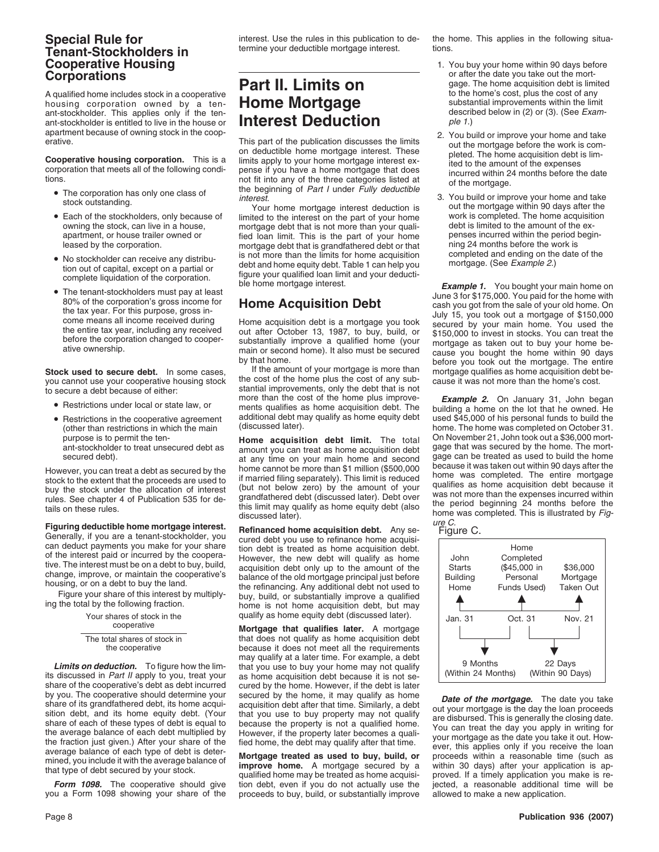# Tenant-Stockholders in<br>Cooperative Housing

A qualified home includes stock in a cooperative to the **Home Mortgage** to the home's cost, plus the cost of any<br>housing corporation owned by a ten- **Home Mortgage** substantial improvements within the limit housing corporation owned by a ten-<br>ant-stockholder. This applies only if the ten-**Integrate Departments** or substantial improvements within the limit ant-stockholder. This applies only if the ten-<br>ant-stockholder is entitled to live in the house or **Interest Deduction**<br>apartment because of owning stock in the coop-<br>2. You build or improve your home and take

- 
- 
- 
- 

you cannot use your cooperative housing stock

- 
- 

Your shares of stock in the qualify as home equity debt (discussed later).<br>Cooperative **COOPER** 

its discussed in Part II apply to you, treat your share of the cooperative's debt as debt incurred

**Special Rule for** interest. Use the rules in this publication to de-<br>**Tenant-Stockholders in** termine your deductible mortgage interest. tions.

apartment because of owning stock in the coop-<br>
erative.<br>
Cooperative housing corporation. This is a<br>
corporation that meets all of the following condi-<br>
in deductible home mortgage interest. These<br>
corporation that meets

• Each of the stockholders, only because of limited to the interest on the part of your home work is completed. The home acquisition <br>• Each of the stockholders, only because of limited to the interest on the part of your owning the stock, can live in a house, an anortgage debt that is not more than your quali-<br>apartment, or house trailer owned or a metal loan limit. This is the part of your home penses incurred within the period beginapartment, or house trailer owned or example lead loan limit. This is the part of your home penses incurred within the period begin-<br>leased by the corporation. example and the mortgage debt that is grandfathered debt or th mortgage debt that is grandfathered debt or that ining 24 months before the work is<br>is not more than the limits for home acquisition completed and ending on the date of the

stantial improvements, only the debt that is not to secure a debt because of either:<br>more than the cost of the home plus improvemore than the cost of the home plus improve-<br>• Restrictions under local or state law, or ments qualifies as home acquisition debt. The puilding a home on the lot that he owned. He<br>• Restrictions in the cooperative agreemen

purpose is to permit the ten-<br>ant-stockholder to treat unsecured debt as a mount you can treat as bome acquisition debt quade that was secured by the home. The mort-

ant-stockholder to treat ansecured debt as<br>secured debt).<br>Secured debt as secured debt as a mount you can treat as home acquisition debt<br>However, you can treat a debt as secured by the home<br>However, you can treat a debt as

Mortgage that qualifies later. A mortgage The total shares of stock in that does not qualify as home acquisition debt the cooperative because it does not meet all the requirements may qualify at a later time. For example, a debt **Limits on deduction.** To figure how the lim-<br>discussed in Part II apply to you, treat your as home acquisition debt because it is not secured by the home. However, if the debt is later

Form 1098. The cooperative should give tion debt, even if you do not actually use the jected, a reasonable additional time will be you a Form 1098 showing your share of the proceeds to buy, build, or substantially improve allowed to make a new application.

- **Cooperative Housing 1. You buy your home within 90 days before**<br> **Corporations** or after the date you take out the mort-**Corporation In the date you take out the mort-**<br> **Corporation Supplem Corporation Supplem Supplem Corporation Supplem Corporation debt is limited at a gradient of the home acquisition debt is limited at a gradient of the** gage. The home acquisition debt is limited<br>to the home's cost, plus the cost of any
	-
	-

• No stockholder can receive any distribu-<br>
tion out of capital, except on a partial or<br>
tion out of capital, except on a partial or<br>
tion out of capital, except on a partial or<br>
tion out of capital, except on a partial or by that home.<br>Stock used to secure debt. In some cases, If the amount of your mortgage is more than mortgage qualifies as home acquisition debt be-<br>you cannot use your cooperative housing stock the cost of the home plus th

• Restrictions in the cooperative agreement additional debt may qualify as home equity debt used \$45,000 of his personal funds to build the (discussed later).<br>(other than restrictions in which the main (discussed later). ( (other than restrictions in which the main (discussed later). home. The home. The home was completed on October 31.<br>Home acquisition debt limit. The total On November 21, John took out a \$36,000 mort-



by you. The cooperative should determine your<br>share of its grandfathered debt, its home acqui-<br>share of its grandfathered debt, its home acqui-<br>share of its grandfathered debt, its home acqui-<br>share of each of these types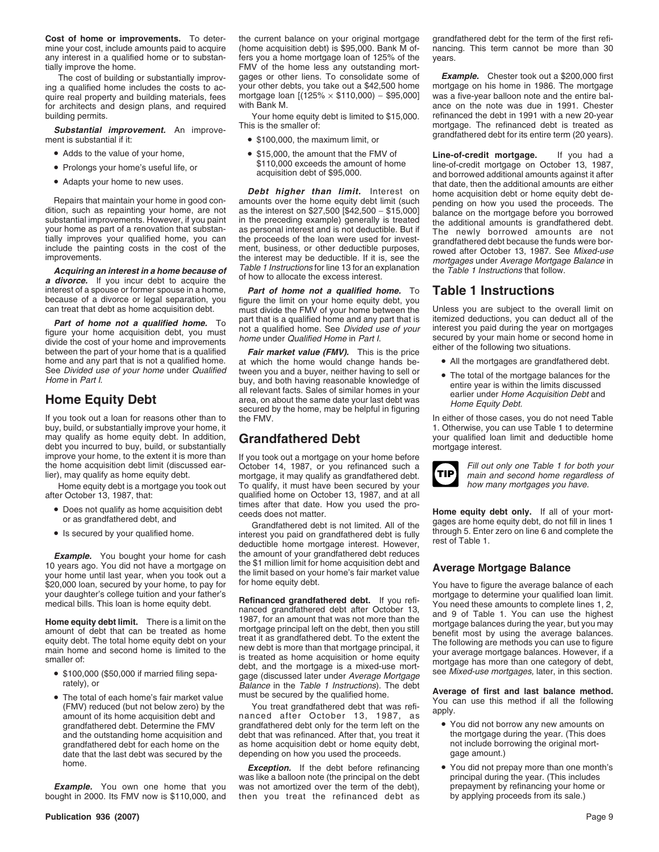**Cost of home or improvements.** To deter- the current balance on your original mortgage grandfathered debt for the term of the first refi-<br>mine your cost, include amounts paid to acquire (home acquisition debt) is \$95,000. mine your cost, include amounts paid to acquire (home acquisition debt) is \$95,000. Bank M of- any interest in a qualified home or to substan-fers you a home mortgage loan of 125% of the any interest in a qualified home or to substan-<br>tially improve the home.<br>FMV of the home less any outstanding mort-

ing a qualified home includes the costs to ac-<br>quire real property and building materials, fees mortgage loan [(125% × \$110,000) – \$95,000] was a five-year balloon note and the entire balquire real property and building materials, fees mortgage loan [(125% × \$110,000) – \$95,000] was a five-year balloon note and the entire bal-<br>for architects and design plans, and required with Bank M. for architects and design plans, and required with Bank M. ance on the note was due in 1991. Chester<br>Your home equity debt is limited to \$15,000. refinanced the debt in 1991 with a new 20-year

**Substantial improvement.** An improve-<br>ment is substantial if it: • **•** \$100,000, the maximum limit, or **grandfathered debt for its entire term** (20 years).

- 
- 
- 

a divorce. If you incur debt to acquire the interest of a spouse or former spouse in a home, *Part of home not a qualified home.* To **Table 1 Instructions** because of a divorce or legal separation, you figure the limit on your home equity debt, you can treat that debt as home acquisition debt. must divide the FMV of your home between the

**Part of home not a qualified home.** To part that is a qualified home and any part that is itemized deductions, you can deduct all of the not a qualified home. See *Divided use of your* interest you paid during the year on between the part of your home that is a qualified **Fair market value (FMV).** This is the price<br>home and any part that is not a qualified home. at which the home would change hands be-<br>See Divided use of your home under Qua

If you took out a loan for reasons other than to the FMV.<br>
In either of those cases, you do not need Table the FMV.<br>
1. Otherwise, you can use Table 1 to determine may qualify as home equity debt. In addition, **Grandfathered Debt** your qualified loan debt you incurred to buy, build, or substantially debt you incurred to buy, build, or substantially improve your home, to the extent it is more than improve your home, to the extent it is more than If you took out a mortgage on your home before<br>the home acquisition debt limit (discussed ear- October 14, 1987, or you refinanced such a

Home equity debt is a mortgage you took out after October 13, 1987, that:

- 
- 

To years ago. You did not have a mortgage on<br>your home until last year, when you took out a<br>\$20,000 loan, secured by your home, to pay for the limit based on your home's fair market value<br>your daughter's college tuition an

- 
- date that the last debt was secured by the depending on how you used the proceeds.

**Example.** You own one home that you was not amortized over the term of the debt), prepayment by refinancing your hor bought in 2000. Its FMV now is \$110,000, and then you treat the refinanced debt as by applying proceeds

FMV of the home less any outstanding mort-The cost of building or substantially improv- gages or other liens. To consolidate some of *Example.* Chester took out a \$200,000 first

- 
- 

Repairs that maintain your home in good con-<br>dition, such as repainting your home, are not as the interest on the equity debt limit (such as a sepainting your home, are not as the interest on \$27,500 (\$42,500 – \$15,000)<br>su provements.<br>**Acquiring an interest in a home because of** Table 1 Instructions for line 13 for an explanation the Table 1 Instructions that follow.<br>Acquiring an interest in a home because of Table 1 Instructions for line 13

must divide the FMV of your home between the Unless you are subject to the overall limit on part that is a qualified home and any part that is itemized deductions, you can deduct all of the

See Divided use of your home under Qualified tween you and a buyer, neither having to sell or<br>
Home in Part I. buy, and both having reasonable knowledge of all relevant facts. Sales of similar homes in your<br>
Home Equity De

October 14, 1987, or you refinanced such a<br>mortgage it may qualify as grandfathered debt.  $\overline{HIP}$  main and second home regardless of lier), may qualify as home equity debt. mortgage, it may qualify as grandfathered debt. **TIP** main and second home regardl<br>Home equity debt is a mortgage you took out To qualify, it must have been secured by your qualified home on October 13, 1987, and at all<br>times after that date. How you used the pro-

**Example.** You bought your home for cash the amount of your grandfathered debt reduces 10 years ago. You did not have a mortgage on the \$1 million limit for home acquisition debt and

The equity debt limit. There is a limit on the 1987, for an amount that was refined a grandfathered debt. If you refined these amounts to complete lines 1, 2,<br>
Home equity debt limit. There is a limit on the 1987, for an a

amount of its home acquisition debt and anced after October 13, 1987, as and the outstanding home acquisition and debt that was refinanced. After that, you treat it the mortgage during the year. (This does and the outstand and the outstanding home acquisition and debt that was refinanced. After that, you treat it the mortgage during the year. (This does grandfathered debt for each home on the as home acquisition debt or home equity debt, not as home acquisition debt or home equity debt, not include borrowing debt or home equity debt, not include borr<br>depending on how you used the proceeds.

home.<br>**Exception.** If the debt before refinancing • You did not prepay more than one month's was like a balloon note (the principal on the debt principal during the year. (This includes was not amortized over the term of the debt), prepayment by refinancing your home or then you treat the refinanced debt as

Your home equity debt is limited to \$15,000. refinanced the debt in 1991 with a new 20-year<br>mortgage. The refinanced debt is treated as

• Adds to the value of your home, • \$15,000, the amount that the FMV of **Line-of-credit mortgage.** If you had a<br>• Prolongs your home's useful life or \$110,000 exceeds the amount of home line-of-credit mortgage on October 1 • Prolongs your home's useful life, or<br>• Adapts your home to new uses.<br>• Adapts your home to new uses.<br>• Adapts your home to new uses.<br>• Debt higher than limit. Interest on the additional amounts are either<br>bet higher than

- 
- 

**buy, buy, build, or substantially improve you can use Table 1 to determine**<br>your qualified loan limit and deductible home



• Does not qualify as home acquisition debt<br>or as grandfathered debt, and<br>or as grandfathered debt, and<br>or as grandfathered debt, and<br>or interest you paid on grandfathered debt is fully<br>of through 5. Enter zero on line 6 a

your daughter's college tuition and your father's<br>medical bills. This loan is home equity debt. **Refinanced grandfathered debt.** If you refi-<br>medical bills. This loan is home equity debt. **Refinanced grandfathered debt.** A

- 
-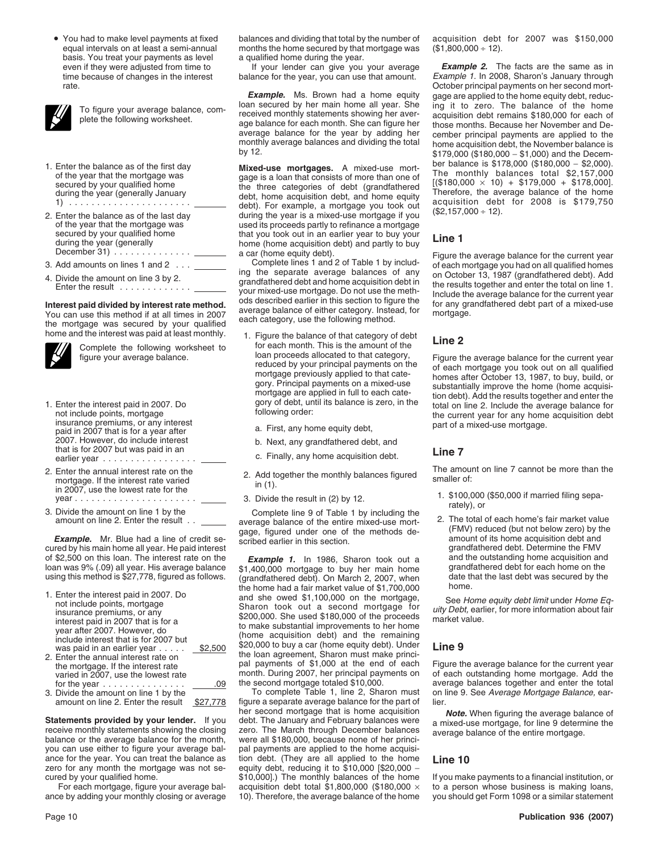basis. You treat your payments as level time because of changes in the interest balance for the year, you can use that amount.<br>
rate.



- 
- 
- 
- 

# Interest paid divided by interest rate method.<br>You can use this method if at all times in 2007 average balance of either category. Instead, for mortgage.<br>the mortgage was secured by your qualified each category, use the fo



- 2007. However, do include interest b. Next, any grandfathered debt, and that is for 2007 but was paid in an **Line 7** earlier year c. Finally, any home acquisition debt. .................
- 
- 

**Example.** Mr. Blue had a line of credit se-<br>cured by his main home all year. He paid interest grandfathered debt. Determine the FMV of \$2,500 on this loan. The interest rate on the **Example 1.** In 1986, Sharon took out a and the outstanding home acquisition and loan was 9% (.09) all year. His average balance \$1,400,000 mortgage to buy her main home and loan was 9% (.09) all year. His average balance \$1,400,000 mortgage to buy her main home grandfathered debt for each home on the using this method is \$27,778, figured as follows. (grandfathered debt). On March 2, 2007, whe

- 
- 
- 

balance or the average balance for the month, were all \$180,000, because none of her princi-<br>you can use either to figure your average bal-<br>ance for the year. You can treat the balance as tion debt. (They are all applied t

ance by adding your monthly closing or average 10). Therefore, the average balance of the home

• You had to make level payments at fixed balances and dividing that total by the number of acquisition debt for 2007 was \$150,000<br>equal intervals on at least a semi-annual months the home secured by that mortgage was (\$1, months the home secured by that mortgage was a qualified home during the year.

even if they were adjusted from time to If your lender can give you your average **Example 2.** The facts are the same as in time because of changes in the interest balance for the year, you can use that amount. *Example 1.* 

**Example.** Ms. Brown had a home equity gage are applied to the home equity debt, reduc-<br>loan secured by her main home all year. She ing it to zero. The balance of the home To figure your average balance, com-<br>plete the following worksheet.<br>plete the following worksheet.<br>age balance for each month. She can figure her discussed her November and De-<br>average balance for the year by adding her ce

1. Enter the balance as of the first day<br>of the year that the mortgage was<br>secured by your qualified home<br>during the year (generally January<br>debt, home acquisition debt, and home equity<br>1) ................................ of the year that the mortgage was used its proceeds partly to refinance a mortgage secured by your qualified home that you took out in an earlier year to buy your secured by your qualified home that you took out in an earlier year to buy your **Line 1** during the year (generally home (home acquisition debt) and partly to buy December 31) .............. a car (home equity debt). Figure the average balance for the current year

3. Add amounts on lines 1 and 2 . . . Complete lines 1 and 2 of Table 1 by includ- of each mortgage you had on all qualified homes ing the separate average balances of any on October 13, 1987 (grandfathered debt). Add 4. Divide the amount on line 3 by 2. grandfathered debt and home acquisition debt in Enter the result the results together and enter the total on line 1. ............. your mixed-use mortgage. Do not use the meth- Include the average balance for the current year ods described earlier in this section to figure the **Interest paid divided by interest rate method.** for any grandfathered debt part of a mixed-use

- home and the interest was paid at least monthly.<br> **Complete the following worksheet to** for each month. This is the amount of the figure your average balance.<br> **Complete the following worksheet to** for each month. This is
	-
	-
	-
	-
	-

2. Enter the annual interest rate on the The amount on line 7 cannot be more than the 2. Add together the monthly balances figured mortgage. If the interest rate varied smaller of: in (1). in 2007, use the lowest rate for the 1. \$100,000 (\$50,000 if married filing sepa- year ...................... 3. Divide the result in (2) by 12. rately), or 3. Divide the amount on line 1 by the Complete line 9 of Table 1 by including the amount on line 2. Enter the result . . 2. The total of each home's fair market value average balance of the entire mixed-use mort- (FMV) reduced (but not below zero) by the gage, figured under one of the methods de- *Example.* Mr. Blue had a line of credit se- amount of its home acquisition debt and scribed earlier in this section.

(grandfathered debt). On March 2, 2007, when date that is determined debt). On March 2, 2007, when date the last debt was determined by the last definition by the last definition by the last definition by the last of the 1. Enter the interest paid in 2007. Do<br>
include points, mortgage<br>
insurance premiums, or any<br>
interest paid in 2007 that is for a<br>
interest paid in 2007 that is for a<br>
include interest that is for 2007 but<br>
include interes include interest that is for 2007 but<br>was paid in an earlier year ..... \$2,500 \$20,000 to buy a car (home equity debt). Under **Line 9**<br>2. Enter the annual interest rate on the loan agreement, Sharon must make princithe loan agreement, Sharon must make princi-<br>
The mortgage. If the interest rate on pal payments of \$1,000 at the end of each Figure the average balance for the current year<br>
the mortgage. If the interest rate month. Durin

Divide the amount on line 1 by the Table To complete Table 1, line 2, Sharon must on line 9. See Average Mortgage Balance, ear-<br>amount on line 2. Enter the result \$27,778 figure a separate average balance for the part of l figure a separate average balance for the part of<br>her second mortgage that is home acquisition her second mortgage that is home acquisition **Note.** When figuring the average balance of<br> **Statements provided by your lender.** If you debt. The January and February balances were a mixed-use mortgage, for line 9 determin ance for the year. You can treat the balance as tion debt. (They are all applied to the home **Line 10** zero for any month the mortgage was not se-<br>equity debt, reducing it to \$10,000 [\$20,000 equity debt, reducing it to  $$10,000$  [\$20,000  $$ cured by your qualified home.  $$10,000]$ .) The monthly balances of the home If you make payments to a financial institution, or<br>For each mortgage, figure your average bal- acquisition debt total \$1,800,000 (\$180,000  $\times$ 

Cotober principal payments on her second mort-<br>-Example. Ms. Brown had a home equity gage are applied to the home equity debt, reducaverage balance for the year by adding her cember principal payments are applied to the<br>monthly average balances and dividing the total home acquisition debt, the November balance is<br>by 12. \$179,000 (\$180,000 - \$1,000) and

Figure your average balance.<br>
Figure your average balance to the current year<br>
reduced by your principal payments on the<br>
mortgage previously applied to that cate-<br>
mortgage are applied to that cate-<br>
mortgage are applied

- 
- 

varied in 2007, use the lowest rate month. During 2007, her principal payments on of each outstanding home mortgage. Add the<br>for the year comparent the total the second mortgage totaled \$10,000. The verage balances togethe for the year . . . . . . . . . . . . . . . .09 the second mortgage totaled \$10,000. average balances together and enter the total

acquisition debt total \$1,800,000 (\$180,000  $\times$  to a person whose business is making loans, 10). Therefore, the average balance of the home you should get Form 1098 or a similar statement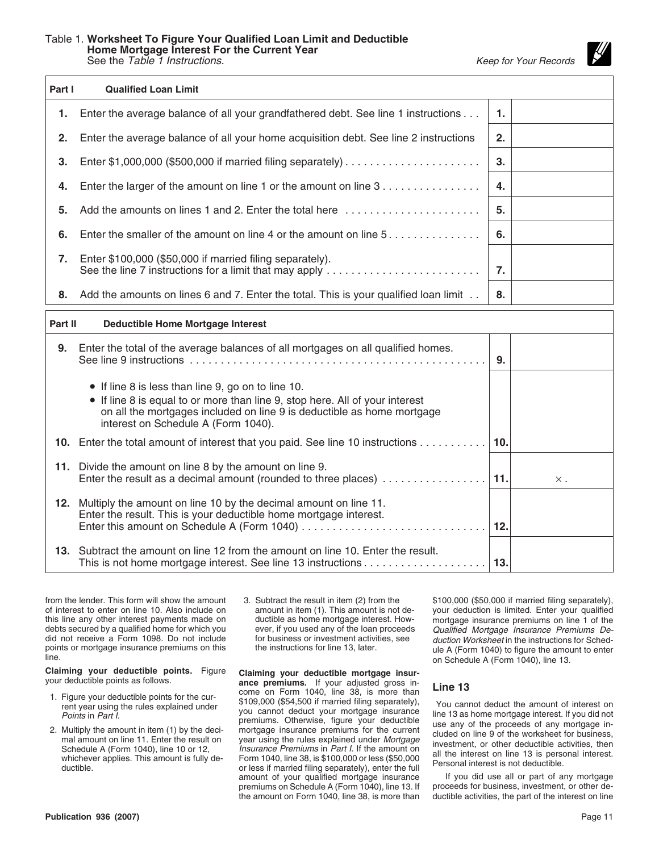### Table 1. **Worksheet To Figure Your Qualified Loan Limit and Deductible Home Mortgage Interest For the Current Year** See the Table 1 Instructions. The See of the Table 1 Instructions.

| Part I  | <b>Qualified Loan Limit</b>                                                                                                                                                                                                                         |      |            |
|---------|-----------------------------------------------------------------------------------------------------------------------------------------------------------------------------------------------------------------------------------------------------|------|------------|
| 1.      | Enter the average balance of all your grandfathered debt. See line 1 instructions                                                                                                                                                                   | 1.   |            |
| 2.      | Enter the average balance of all your home acquisition debt. See line 2 instructions                                                                                                                                                                | 2.   |            |
| 3.      |                                                                                                                                                                                                                                                     | 3.   |            |
| 4.      | Enter the larger of the amount on line 1 or the amount on line 3                                                                                                                                                                                    | 4.   |            |
| 5.      | Add the amounts on lines 1 and 2. Enter the total here                                                                                                                                                                                              | 5.   |            |
| 6.      | Enter the smaller of the amount on line 4 or the amount on line $5, \ldots, \ldots, \ldots$                                                                                                                                                         | 6.   |            |
| 7.      | Enter \$100,000 (\$50,000 if married filing separately).                                                                                                                                                                                            | 7.   |            |
| 8.      | Add the amounts on lines 6 and 7. Enter the total. This is your qualified loan limit                                                                                                                                                                | 8.   |            |
|         |                                                                                                                                                                                                                                                     |      |            |
| Part II | <b>Deductible Home Mortgage Interest</b>                                                                                                                                                                                                            |      |            |
| 9.      | Enter the total of the average balances of all mortgages on all qualified homes.                                                                                                                                                                    | 9.   |            |
|         | • If line 8 is less than line 9, go on to line 10.<br>• If line 8 is equal to or more than line 9, stop here. All of your interest<br>on all the mortgages included on line 9 is deductible as home mortgage<br>interest on Schedule A (Form 1040). |      |            |
|         | 10. Enter the total amount of interest that you paid. See line 10 instructions                                                                                                                                                                      | 10.  |            |
|         | 11. Divide the amount on line 8 by the amount on line 9.<br>Enter the result as a decimal amount (rounded to three places)                                                                                                                          | 11.] | $\times$ . |

**13.** Subtract the amount on line 12 from the amount on line 10. Enter the result. This is not home mortgage interest. See line 13 instructions .................... **13.**

from the lender. This form will show the amount 3. Subtract the result in item (2) from the \$100,000 (\$50,000 if married filing separately), of interest to enter on line 10. Also include on amount in item (1). This amount of interest to enter on line 10. Also include on amount in item (1). This amount is not de-<br>this line any other interest payments made on ductible as home mortgage interest. Howthis line any other interest payments made on ductible as home mortgage interest. How- mortgage insurance premiums on line 1 of the debts secured by a qualified home for which you ever, if you used any of the loan proceeds debts secured by a qualified home for which you ever, if you used any of the loan proceeds Qualified Mortgage Insurance Premiums De-<br>did not receive a Form 1098. Do not include for business or investment activities, see du did not receive a Form 1098. Do not include for business or investment activities, see *duction Worksheet* in the instructions for Sched-<br>points or mortgage insurance premiums on this the instructions for line 13, later.

- 
- 
- 

Claiming your deductible points. Figure<br>
your deductible points as follows.<br>
1. Figure your deductible points for the current year ance premiums. If your adjusted gross in-<br>
1. Figure your deductible points for the curren Points in Part I.<br>
Points in Part I.<br>
2. Multiply the amount in item (1) by the deciments. Otherwise, figure your deductible<br>
2. Multiply the amount in item (1) by the deciment of the current<br>
mal amount on line 13 as home or less if married filing separately), enter the full<br>amount of your qualified mortgage insurance If you did use all or part of any mortgage<br>premiums on Schedule A (Form 1040), line 13. If proceeds for business, investment premiums on Schedule A (Form 1040), line 13. If proceeds for business, investment, or other de-<br>the amount on Form 1040, line 38, is more than ductible activities, the part of the interest on line the amount on Form 1040, line 38, is more than

points or mortgage insurance premiums on this the instructions for line 13, later. ule A (Form 1040) to figure the amount to enter line.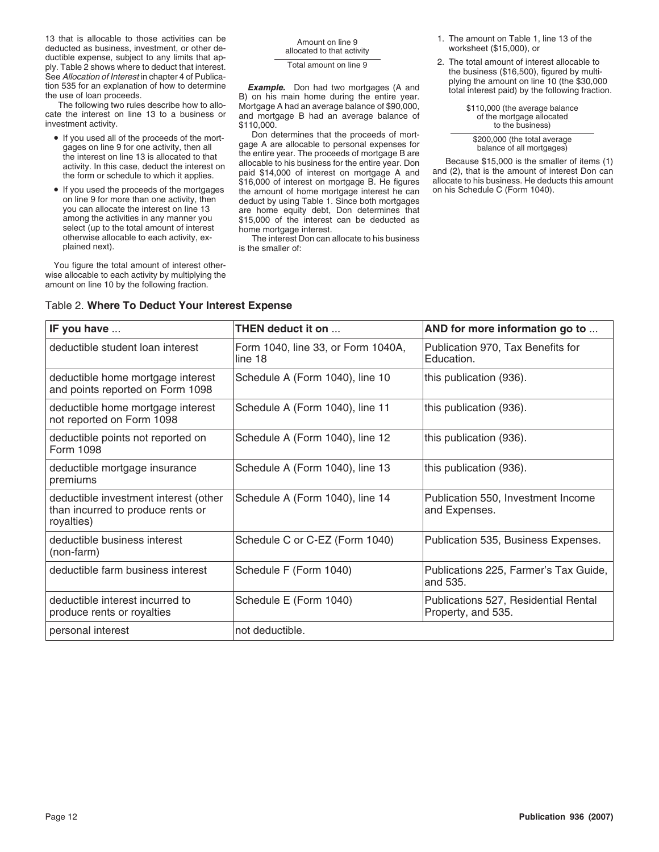13 that is allocable to those activities can be<br>deducted as business, investment, or other de-<br>ductible expense, subject to any limits that ap-<br>ply. Table 2 shows where to deduct that interest.<br>See Allocation of Interest i

- 
- 

You figure the total amount of interest otherwise allocable to each activity by multiplying the amount on line 10 by the following fraction.

See Allocation of Interest in chapter 4 of Publica-<br>tion 535 for an explanation of how to determine<br>the use of loan proceeds.<br>tion 535 for an explanation of how to determine<br>the use of loan proceeds.<br>B) on his main home d

• If you used all of the proceeds of the mort-<br>gages on line 9 for one activity, then all<br>the interest on line 13 is allocated to that<br>activity. In this case, deduct the interest on<br>activity. In this case, deduct the inter • If you used the proceeds of the mortgages the amount of home mortgage B. He figures allocate to his business. He deducts this amount<br>• If you used the proceeds of the mortgages the amount of home mortgage interest he can

otherwise allocable to each activity, ex-<br>plained next). The interest Don can allocate to his business<br>is the smaller of: is the smaller of:

- 
- 

| IF you have                                                                              | THEN deduct it on                              | AND for more information go to                             |
|------------------------------------------------------------------------------------------|------------------------------------------------|------------------------------------------------------------|
| deductible student loan interest                                                         | Form 1040, line 33, or Form 1040A,<br>lline 18 | Publication 970, Tax Benefits for<br>Education.            |
| deductible home mortgage interest<br>and points reported on Form 1098                    | Schedule A (Form 1040), line 10                | this publication (936).                                    |
| deductible home mortgage interest<br>not reported on Form 1098                           | Schedule A (Form 1040), line 11                | this publication (936).                                    |
| deductible points not reported on<br>Form 1098                                           | Schedule A (Form 1040), line 12                | this publication (936).                                    |
| deductible mortgage insurance<br>premiums                                                | Schedule A (Form 1040), line 13                | this publication (936).                                    |
| deductible investment interest (other<br>than incurred to produce rents or<br>royalties) | Schedule A (Form 1040), line 14                | Publication 550, Investment Income<br>and Expenses.        |
| deductible business interest<br>(non-farm)                                               | Schedule C or C-EZ (Form 1040)                 | Publication 535, Business Expenses.                        |
| deductible farm business interest                                                        | Schedule F (Form 1040)                         | Publications 225, Farmer's Tax Guide,<br>and 535.          |
| deductible interest incurred to<br>produce rents or royalties                            | Schedule E (Form 1040)                         | Publications 527, Residential Rental<br>Property, and 535. |
| personal interest                                                                        | Inot deductible.                               |                                                            |

### Table 2. **Where To Deduct Your Interest Expense**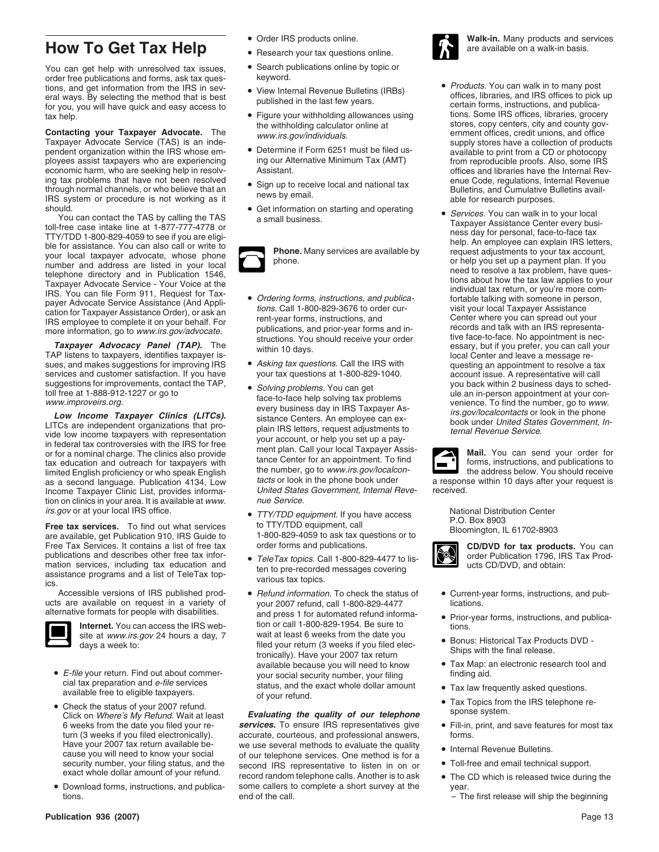You can get help with unresolved tax issues, <br>order free publications and forms, ask tax ques-<br>keyword. order free publications and forms, ask tax ques-<br>tions, and get information from the IRS in sev-Froducts. You can walk in to many post<br>eral ways. By selecting the method that is best **building v** View Internal Revenue Bulletins (IRBs) **and get information from the IRS** in sev-<br>for you, you will have quick and easy

**Contacting your Taxpayer Advocate.** The *www.irs.gov/individuals.* ernment offices, credit unions, and office<br>
Taxpayer Advocate Service (TAS) is an inde-<br>
pendent organization within the IRS whose em-<br>
Determine if Form pendent organization within the IRS whose em-<br>ployees assist taxpayers who are experiencing ing our Alternative Minimum Tax (AMT) from reproducible proofs. Also, some IRS ployees assist taxpayers who are experiencing ing our Alternative Minimum Tax (AMT) from reproducible proofs. Alternative mannimum Tax (AMT) from reproducible proofs. Alternative mannimum Tax (AMT) from reproducible proofs economic harm, who are seeking help in resolv-<br>
Assistant. Concernant and the Internal Reving tax problems that have not been resolved<br>
through normal channels, or who believe that an<br>
IRS system or procedure is not working as it<br>
should.<br>
<br>
Sign up to receive local and national tax<br>
Sign up to receive local an

TAP listens to taxpayers, identifies taxpayer is-<br>sues, and makes suggestions for improving IRS • Asking tax questions. Call the IRS with services and customer satisfaction. If you have your tax questions at 1-800-829-1040 services and customer satisfaction. If you have your tax questions at 1-800-829-1040. A representative will call<br>suggestions for improvements, contact the TAP, a solving problems. You can get you back within 2 business day

For a nominal charge. The clinics also provide<br>tax education and outreach for taxpayers with the number, go to *www.irs.gov/localcon*-<br>limited English proficiency or who speak English the number, go to *www.irs.gov/localco* as a second language. Publication 4134, Low tacts or look in the phone book under a response within 10 days after your request is Income Taxpayer Clinic List, provides informa-<br>Income Taxpayer Clinic List, provides informa-<br>  $\frac{D}{\text{E}}$  and  $\frac{D}{\text{E}}$  are the service tion on clinics in your area. It is available at www.<br>irs.gov or at your local IRS office.

Free Tax Services. It contains a list of free tax order forms and publications.<br>
publications and describes other free tax infor-<br> **CD/DVD for tax products.** You can<br>
order Publication 1796, IRS Tax Prodpublications and describes other free tax infor<br>mation services, including tax education and<br>assistance programs and a list of TeleTax top-<br>ics. warious tax topics.<br>ics.

ucts are available on request in a variety of your 2007 refund, call 1-800-829-4477 alternative formats for people with disabilities.



- 
- cial tax preparation and *e-file* services status, and the exact whole dollar amount available free to eligible taxpayers.<br>
 Check the status of your 2007 refund.<br>
 Click on *Where's My Refund*. Wait at least **Evaluating**
- tions. end of the call. The first release will ship the beginning
- 
- 
- 
- 
- 
- 
- 
- 

- 
- 
- suggestions for improvements, contact the TAP,<br>
toll free at 1-888-912-1227 or go to<br>
tace-to-face help solving ax problems<br>
www.improveirs.org.<br>
LITCs are independent organizations that pro-<br>
vide low income taxpayer Clin
- irs.gov or at your local IRS office.<br> **Free tax services.** To find out what services to TTY/TDD equipment, call<br>
are available, get Publication 910, IRS Guide to 1-800-829-4059 to ask tax questions or to Bloomington, IL 61
	-
	- Accessible versions of IRS published prod-<br>
	s are available on request in a variety of  $\frac{1}{20}$  vour 2007 refund call 1-800-829-4477 lications. and press 1 for automated refund informa-<br>tion or call 1-800-829-1954. Be sure to<br>tions **Internet.** You can access the IRS web-<br>
	site at www.irs.gov 24 hours a day. 7 wait at least 6 weeks from the date you site at www.irs.gov 24 hours a day, 7 wait at least 6 weeks from the date you<br>days a week to: filed your return (3 weeks if you filed elec-<br>tronically). Have your 2007 tax return Ships with the final release. available because you will need to know • Tax Map: an electronic research tool and • E-file your return. Find out about commer-<br>cial tax preparation and e-file services status and the exact whole dollar amount and provident

6 weeks from the date you filed your re-<br>
turn (3 weeks if you filed electronically). accurate, courteous, and professional answers, forms. turn (3 weeks if you filed electronically). accurate, courteous, and professional answers, forms.<br>Have your 2007 tax return available be- we use several methods to evaluate the quality Have your 2007 tax return available be-<br>cause you will need to know your social of our telephone services. One method is for a<br>security number, your filing status, and the second IRS representative to listen in on or<br>exact • Download forms, instructions, and publica-<br>some callers to complete a short survey at the year.



- for you, you will have quick and easy access to<br>tax help. example and the withholding allowances using tions. Some IRS offices, libraries, grocery<br>the withholding calculator online at stores, copy centers, city and county
- Should vector of Taxpayer Advocate in TAF listens to the propose to complete it on your local Taxpayer Assistance Conter and the state in the state of the state of the state in the phone. The state of the state of the stat





- 
- 
- 
- 
- 
- 
- 
- 
- 
- 
-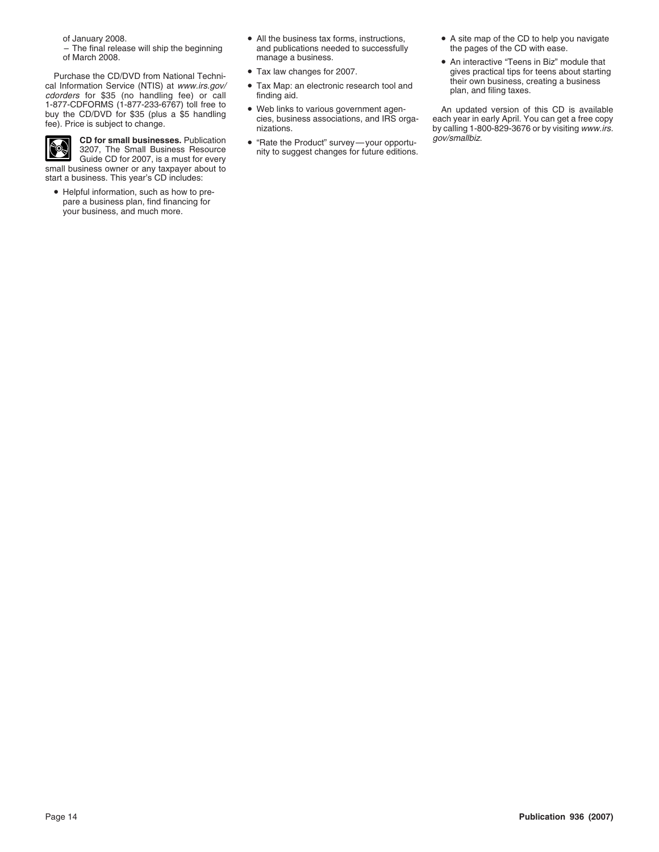– The final release will ship the beginning and publications nee<br>of March 2008. The pages of the pages of the pages of the manage a business.

Purchase the CD/DVD from National Techni-<br>
cal Information Service (NTIS) at *www.irs.gov* Tax Nap: an electronic research tool and<br>
cdorders for \$35 (no handling fee) or call<br>
1-877-CDFORMS (1-877-233-6767) toll free to



**CD for small businesses.** Publication • "Rate the Product" survey—your opportu- 90V/smallbiz.<br>3207, The Small Business Resource nity to suggest changes for future editions.<br>Guide CD for 2007, is a must for every

small business owner or any taxpayer about to start a business. This year's CD includes:

• Helpful information, such as how to prepare a business plan, find financing for your business, and much more.

- 
- 
- 
- 
- 
- of January 2008. All the business tax forms, instructions, A site map of the CD to help you navigate<br>- The final release will ship the beginning and publications needed to successfully the pages of the CD with ease.
	- of Mariage a business.<br>• Tax law changes for 2007. Tax law changes for 2007.

1-877-CDFORMS (1-877-233-6767) toll tree to<br>buy the CD/DVD for \$35 (plus a \$5 handling eies, business associations, and IRS orga-<br>fee). Price is subject to change.<br>https://web links to various government agen-<br>https://web.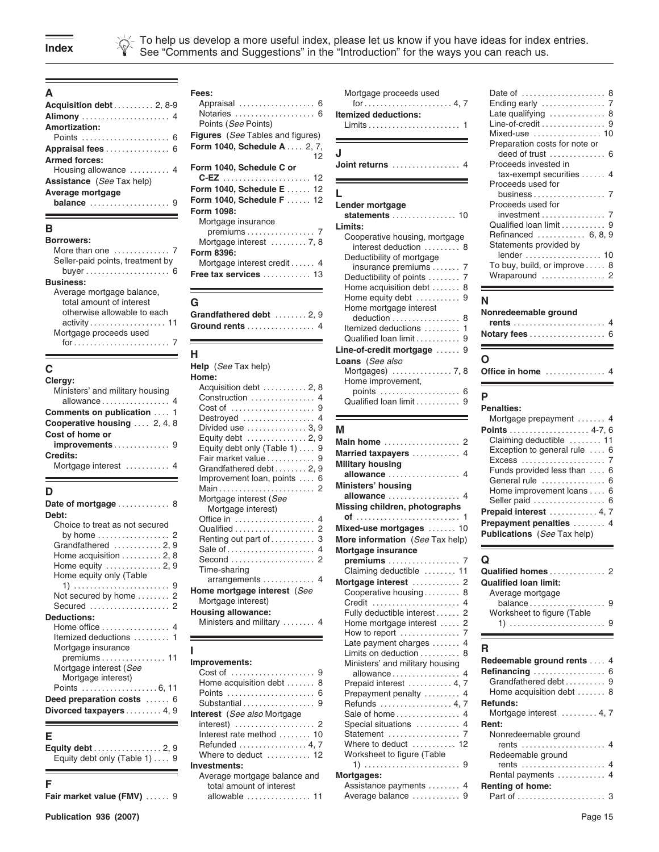

To help us develop a more useful index, please let us know if you have ideas for index entries.<br>**Index** See "Comments and Suggestions" in the "Introduction" for the ways you can reach us.

| Acquisition debt 2, 8-9          |  |
|----------------------------------|--|
| <b>Alimony</b> 4                 |  |
| Amortization:                    |  |
| Points  6                        |  |
| Appraisal fees 6                 |  |
| <b>Armed forces:</b>             |  |
| Housing allowance  4             |  |
| <b>Assistance</b> (See Tax help) |  |
| Average mortgage                 |  |
| <b>balance</b> 9                 |  |

| <b>Borrowers:</b><br>Seller-paid points, treatment by<br><b>Business:</b> | Mortgage interest  7, 8<br>Form 8396:<br>Mortgage interest credit 4<br>Free tax services  13 | Cooperative Housing, mongage<br>interest deduction  8<br>Deductibility of mortgage<br>insurance premiums  7<br>Deductibility of points  7 |
|---------------------------------------------------------------------------|----------------------------------------------------------------------------------------------|-------------------------------------------------------------------------------------------------------------------------------------------|
| Average mortgage balance,                                                 |                                                                                              | Home acquisition debt  8                                                                                                                  |
| total amount of interest<br>otherwise allowable to each                   | G                                                                                            | Home equity debt  9<br>Home mortgage interest                                                                                             |
| activity 11                                                               | Grandfathered debt  2, 9                                                                     | $deduction \ldots \ldots \ldots \ldots \ldots 8$                                                                                          |
| Mortgage proceeds used                                                    | Ground rents  4                                                                              | Itemized deductions  1                                                                                                                    |
| $for \dots \dots \dots \dots \dots \dots \dots \dots 7$                   |                                                                                              | Qualified loan limit  9                                                                                                                   |
|                                                                           |                                                                                              | Line-of-credit mortgage  9                                                                                                                |

| Clergy:                                                                                                          | поше.                                                                                        | Home improvement,                             |                                             |
|------------------------------------------------------------------------------------------------------------------|----------------------------------------------------------------------------------------------|-----------------------------------------------|---------------------------------------------|
| Ministers' and military housing                                                                                  | Acquisition debt  2, 8                                                                       |                                               |                                             |
| allowance $\ldots \ldots \ldots \ldots$                                                                          | Construction  4                                                                              |                                               |                                             |
| Comments on publication  1                                                                                       |                                                                                              |                                               | <b>Penalties:</b><br>Mortgage prepayment  4 |
| <b>Cooperative housing  2, 4, 8</b><br>Cost of home or                                                           | Divided use $\dots \dots \dots \dots 3, 9$ M<br>Equity debt $\dots\dots\dots\dots\dots$ 2, 9 |                                               | <b>Points</b> 4-7, 6                        |
|                                                                                                                  | Equity debt only $(Table 1) \ldots 9$                                                        | Main home $\ldots, \ldots, \ldots, \ldots, 2$ | Claiming deductible  11                     |
| Credits:                                                                                                         |                                                                                              | Married taxpayers  4                          | Exception to general rule  6                |
| Mortgage interest  4                                                                                             | Fair market value  9                                                                         | <b>Military housing</b>                       |                                             |
|                                                                                                                  | Grandfathered debt 2, 9                                                                      | allowance $\ldots, \ldots, \ldots, \ldots, 4$ | Funds provided less than  6                 |
| and the control of the control of the control of the control of the control of the control of the control of the | Improvement loan, points  6                                                                  | Ministers' heusing                            | General rule  6                             |

| Date of mortgage  8                                                                                                                                  |  |
|------------------------------------------------------------------------------------------------------------------------------------------------------|--|
| Debt:                                                                                                                                                |  |
| Choice to treat as not secured<br>by home  2<br>Grandfathered $\ldots$ 2, 9<br>Home acquisition 2, 8<br>Home equity  2, 9<br>Home equity only (Table |  |
|                                                                                                                                                      |  |
| Not secured by home  2<br>Secured  2                                                                                                                 |  |
| <b>Deductions:</b>                                                                                                                                   |  |
| Home office 4                                                                                                                                        |  |
| Itemized deductions  1                                                                                                                               |  |
| Mortgage insurance                                                                                                                                   |  |
| premiums 11<br>Mortgage interest (See<br>Mortgage interest)                                                                                          |  |
| Points  6, 11                                                                                                                                        |  |
| Deed preparation costs                                                                                                                               |  |
| Divorced taxpayers 4, 9                                                                                                                              |  |

| Equity debt $\dots \dots \dots \dots \dots$ 2, |  |  |
|------------------------------------------------|--|--|
| Equity debt only $(Table 1) \ldots$            |  |  |

| Acquisition debt 2, 8-9<br>Alimony  4<br>Amortization:                                                                 | 1 <del>cc</del> a.<br>Appraisal  6<br>Points (See Points)                                                                          | <u>IVIUI IUAUC DI UUCCUS USCU</u><br><b>Itemized deductions:</b>                                                                                                                        | <u>Dalo UI  U</u><br>Ending early $\dots\dots\dots\dots\dots$ 7<br>Late qualifying $\dots\dots\dots\dots$ 8<br>Line-of-credit $\dots\dots\dots\dots\dots9$ |
|------------------------------------------------------------------------------------------------------------------------|------------------------------------------------------------------------------------------------------------------------------------|-----------------------------------------------------------------------------------------------------------------------------------------------------------------------------------------|------------------------------------------------------------------------------------------------------------------------------------------------------------|
| Appraisal fees 6<br><b>Armed forces:</b>                                                                               | <b>Figures</b> ( <i>See</i> Tables and figures)<br>Form 1040, Schedule A 2, 7,                                                     | Joint returns  4                                                                                                                                                                        | Preparation costs for note or<br>deed of trust $\dots\dots\dots\dots$ 6<br>Proceeds invested in                                                            |
| Housing allowance  4<br><b>Assistance</b> (See Tax help)<br>Average mortgage<br>balance $\ldots$ , $\ldots$ , $\ldots$ | Form 1040, Schedule C or<br><b>Form 1040, Schedule E</b> 12<br><b>Form 1040, Schedule F</b> 12<br>Form 1098:                       | <b>The Committee of the Committee of the Committee</b><br>Lender mortgage                                                                                                               | tax-exempt securities  4<br>Proceeds used for<br>business $\ldots$ $\ldots$ $\ldots$ $\ldots$ .<br>Proceeds used for                                       |
| в<br>Borrowers:<br>Seller-paid points, treatment by<br><b>Business:</b>                                                | Mortgage insurance<br>premiums  7<br>Mortgage interest  7, 8<br>Form 8396:<br>Mortgage interest credit  4<br>Free tax services  13 | statements $\ldots$ , , , , 10<br>Limits:<br>Cooperative housing, mortgage<br>interest deduction  8<br>Deductibility of mortgage<br>insurance premiums  7<br>Deductibility of points  7 | Qualified loan limit 9<br>Refinanced  6, 8, 9<br>Statements provided by<br>lender  10<br>To buy, build, or improve 8<br>Wraparound  2                      |
|                                                                                                                        |                                                                                                                                    |                                                                                                                                                                                         |                                                                                                                                                            |

| Grandfathered debt  2, 9 |  |  |  |  |  |  |
|--------------------------|--|--|--|--|--|--|
|                          |  |  |  |  |  |  |

| lome:                   |
|-------------------------|
| Acquisition debt        |
| Construction            |
| Cost of                 |
| Destroyed               |
| Divided use             |
| Equity debt             |
| Equity debt only (Table |
| Fair market value       |
|                         |

| Grandfathered debt 2, 9     |  |
|-----------------------------|--|
| Improvement loan, points  6 |  |
| Main 2                      |  |
| Mortgage interest (See      |  |
| Mortgage interest)          |  |
| Office in  4                |  |
| Qualified  2                |  |
|                             |  |
|                             |  |
| Second  2                   |  |
| Time-sharing                |  |
| arrangements  4             |  |
| lome mortgage interest (See |  |
| Mortgage interest)          |  |
| lousing allowance:          |  |
| Ministers and military  4   |  |
|                             |  |

| . הודסות השנות                            |
|-------------------------------------------|
|                                           |
| Home acquisition debt  8                  |
| Points  6                                 |
|                                           |
| <b>iterest</b> ( <i>See also</i> Mortgage |
|                                           |
| Interest rate method  10                  |
| Refunded  4, 7                            |
| Where to deduct  12                       |
| <b>ivestments:</b>                        |
| Average mortgage balance and              |
| total amount of interest                  |
|                                           |

### **A Fees: Fees: Fees: Mortgage proceeds used Acquisition debt** . . . . . . . . . . 2, 8-9 Appraisal ................... 6 for . . . . . . . . . . . . . . . . . . . . . . 4, 7 Ending early ................ 7

| <u>oint returns </u> |  |
|----------------------|--|
|----------------------|--|

| В<br><b>Borrowers:</b><br>Seller-paid points, treatment by<br><b>Business:</b>                                                | Form 1098:<br>Mortgage insurance<br>premiums  7<br>Mortgage interest  7, 8<br>Form 8396:<br>Mortgage interest credit 4<br>Free tax services  13     | Limits:<br>Cooperative housing, mortgage<br>interest deduction  8<br>Deductibility of mortgage<br>insurance premiums  7<br>Deductibility of points  7 | investment $\dots\dots\dots\dots\dots$ 7<br>Qualified loan limit  9<br>Refinanced  6, 8, 9<br>Statements provided by<br>lender  10<br>To buy, build, or improve  8<br>Wraparound  2 |
|-------------------------------------------------------------------------------------------------------------------------------|-----------------------------------------------------------------------------------------------------------------------------------------------------|-------------------------------------------------------------------------------------------------------------------------------------------------------|-------------------------------------------------------------------------------------------------------------------------------------------------------------------------------------|
| Average mortgage balance,<br>total amount of interest<br>otherwise allowable to each<br>activity 11<br>Mortgage proceeds used | G<br>Grandfathered debt  2, 9<br>Ground rents  4                                                                                                    | Home acquisition debt  8<br>Home equity debt  9<br>Home mortgage interest<br>deduction  8<br>Itemized deductions<br>Qualified loan limit 9            | N<br>Nonredeemable ground<br>Notary fees 6                                                                                                                                          |
| С<br>Clergy:<br>Ministers' and military housing                                                                               | Help (See Tax help)<br>Home:<br>Acquisition debt  2, 8<br>Construction $\ldots \ldots \ldots \ldots$ .<br>$\sim$ $\sim$ $\sim$ $\sim$ $\sim$ $\sim$ | Line-of-credit mortgage  9<br>Loans (See also<br>Home improvement,<br>Qualified loan limit  9                                                         |                                                                                                                                                                                     |

| Credits:<br>Mortgage interest  4<br>D<br>Date of mortgage  8<br>Debt:<br>Choice to treat as not secured<br>by home $\dots\dots\dots\dots\dots\dots$ 2<br>Grandfathered  2, 9                                                                                                                       | Equity debt only (Table 1)  9<br>Fair market value  9<br>Grandfathered debt 2, 9<br>Improvement loan, points  6<br>Main 2<br>Mortgage interest (See<br>Mortgage interest)<br>Renting out part of  3                        | Main home $\ldots \ldots \ldots \ldots \ldots 2$<br>Married taxpayers  4<br><b>Military housing</b><br>allowance $\ldots \ldots \ldots \ldots$<br><b>Ministers' housing</b><br>allowance  4<br>Missing children, photographs<br>Mixed-use mortgages  10<br>More information (See Tax help)                                                                                          | Claiming deductible  IT<br>Exception to general rule  6<br>Funds provided less than  6<br>General rule  6<br>Home improvement loans 6<br>Seller paid  6<br>Prepaid interest  4, 7<br>Prepayment penalties  4<br><b>Publications</b> (See Tax help) |
|----------------------------------------------------------------------------------------------------------------------------------------------------------------------------------------------------------------------------------------------------------------------------------------------------|----------------------------------------------------------------------------------------------------------------------------------------------------------------------------------------------------------------------------|-------------------------------------------------------------------------------------------------------------------------------------------------------------------------------------------------------------------------------------------------------------------------------------------------------------------------------------------------------------------------------------|----------------------------------------------------------------------------------------------------------------------------------------------------------------------------------------------------------------------------------------------------|
| Home acquisition $\ldots \ldots \ldots 2$ , 8<br>Home equity $\dots\dots\dots\dots 2,9$<br>Home equity only (Table<br>Not secured by home  2<br>Secured  2<br><b>Deductions:</b><br>Home office  4<br>Itemized deductions  1<br>Mortgage insurance<br>Mortgage interest (See<br>Mortgage interest) | Time-sharing<br>arrangements  4<br>Home mortgage interest (See<br>Mortgage interest)<br><b>Housing allowance:</b><br>Ministers and military  4<br><u> Tanzania (h. 1888).</u><br>Improvements:<br>Home acquisition debt  8 | Mortgage insurance<br>Claiming deductible  11<br>Mortgage interest  2<br>Cooperative housing 8<br>Credit  4<br>Fully deductible interest  2<br>Home mortgage interest  2<br>How to report $\dots\dots\dots\dots$ 7<br>Late payment charges $\dots$ 4<br>Limits on deduction  8<br>Ministers' and military housing<br>allowance 4<br>Prepaid interest  4, 7<br>Prepayment penalty  4 | Q<br><b>Qualified loan limit:</b><br>Average mortgage<br>Worksheet to figure (Table<br>R<br>Redeemable ground rents  4<br>Refinancing  6<br>Grandfathered debt  9<br>Home acquisition debt  8                                                      |
| Deed preparation costs  6<br>Divorced taxpayers 4, 9<br>Equity debt 2, 9<br>Equity debt only (Table 1)  9                                                                                                                                                                                          | Interest (See also Mortgage<br>Interest rate method  10<br>Refunded $\ldots$ , , , , 4.7<br>Where to deduct  12<br>Investments:                                                                                            | Refunds  4, 7<br>Sale of home 4<br>Special situations  4<br>Statement  7<br>Where to deduct  12<br>Worksheet to figure (Table                                                                                                                                                                                                                                                       | Refunds:<br>Mortgage interest  4, 7<br>Rent:<br>Nonredeemable ground<br>rents  4<br>Redeemable ground<br>rents  4                                                                                                                                  |
| F<br>Fair market value (FMV)  9                                                                                                                                                                                                                                                                    | Average mortgage balance and<br>total amount of interest<br>allowable  11                                                                                                                                                  | Mortgages:<br>Assistance payments  4<br>Average balance  9                                                                                                                                                                                                                                                                                                                          | Rental payments  4<br><b>Renting of home:</b><br>Part of  3                                                                                                                                                                                        |

| Mortgage proceeds used                                 | Date of  8<br>Ending early $\ldots \ldots \ldots \ldots$ 7 |
|--------------------------------------------------------|------------------------------------------------------------|
| <b>Itemized deductions:</b>                            | Late qualifying $\ldots \ldots \ldots \ldots$ 8            |
|                                                        | Line-of-credit 9                                           |
|                                                        | Mixed-use $\dots\dots\dots\dots\dots$ 10                   |
| J                                                      | Preparation costs for note or<br>deed of trust  6          |
| Joint returns  4                                       | Proceeds invested in                                       |
|                                                        | $tax$ -exempt securities $\ldots$ 4                        |
|                                                        | Proceeds used for                                          |
|                                                        |                                                            |
| Lender mortgage                                        | Proceeds used for                                          |
| statements $\ldots$ , $\ldots$ ,  10                   | $investment \ldots \ldots \ldots \ldots 7$                 |
| Limits:                                                | Qualified loan limit 9                                     |
| Cooperative housing, mortgage<br>interest deduction  8 | Refinanced  6, 8, 9<br>Statements provided by              |
| Deductibility of mortgage                              | lender  10                                                 |
| insurance premiums  7                                  | To buy, build, or improve $\ldots$ 8                       |
| Deductibility of points  7                             | Wraparound  2                                              |
|                                                        |                                                            |

| Notary fees 6 |  |  |  |  |  |  |  |  |  |
|---------------|--|--|--|--|--|--|--|--|--|
|               |  |  |  |  |  |  |  |  |  |

| генашез.                     |
|------------------------------|
| Mortgage prepayment  4       |
| <b>Points</b> 4-7, 6         |
| Claiming deductible  11      |
| Exception to general rule  6 |
| Excess  7                    |
| Funds provided less than  6  |
| General rule  6              |
| Home improvement loans  6    |
| Seller paid  6               |
| Prepaid interest  4, 7       |
| Prepayment penalties  4      |
| Publications (See Tax help)  |
|                              |

| Qualified homes  2           |  |
|------------------------------|--|
| <b>Qualified loan limit:</b> |  |
| Average mortgage             |  |
|                              |  |
| Worksheet to figure (Table   |  |
|                              |  |
|                              |  |

| Redeemable ground rents  4<br>Refinancing  6 |
|----------------------------------------------|
| Grandfathered debt 9                         |
| Home acquisition debt  8                     |
| Refunds:                                     |
| Mortgage interest  4, 7                      |
| Rent:                                        |
| Nonredeemable ground                         |
| rents  4                                     |
| Redeemable ground                            |
| rents  4                                     |
| Rental payments  4                           |
| <b>Renting of home:</b>                      |
| Part of  3                                   |
|                                              |